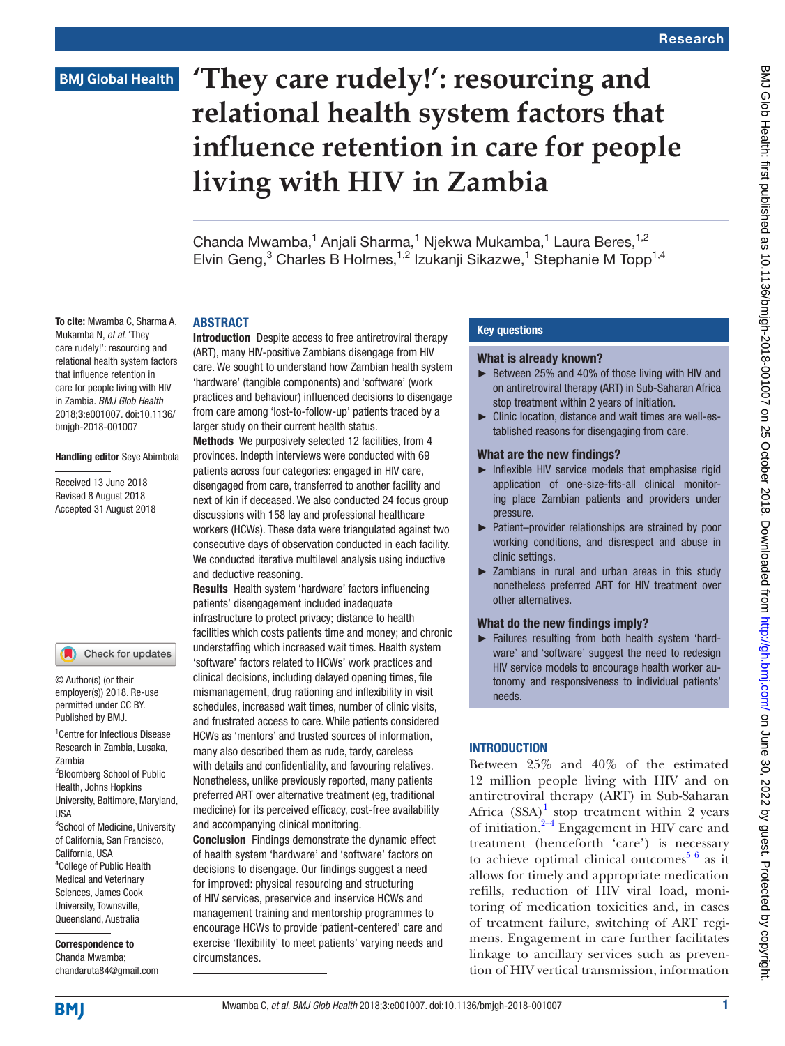To cite: Mwamba C, Sharma A, Mukamba N, *et al*. 'They care rudely!': resourcing and relational health system factors that influence retention in care for people living with HIV in Zambia. *BMJ Glob Health* 2018;3:e001007. doi:10.1136/ bmjgh-2018-001007

Handling editor Seye Abimbola

Received 13 June 2018 Revised 8 August 2018 Accepted 31 August 2018

# **'They care rudely!': resourcing and relational health system factors that influence retention in care for people living with HIV in Zambia**

Chanda Mwamba,<sup>1</sup> Anjali Sharma,<sup>1</sup> Njekwa Mukamba,<sup>1</sup> Laura Beres,<sup>1,2</sup> Elvin Geng,<sup>3</sup> Charles B Holmes,<sup>1,2</sup> Izukanji Sikazwe,<sup>1</sup> Stephanie M Topp<sup>1,4</sup>

#### **ARSTRACT**

Introduction Despite access to free antiretroviral therapy (ART), many HIV-positive Zambians disengage from HIV care. We sought to understand how Zambian health system 'hardware' (tangible components) and 'software' (work practices and behaviour) influenced decisions to disengage from care among 'lost-to-follow-up' patients traced by a larger study on their current health status.

Methods We purposively selected 12 facilities, from 4 provinces. Indepth interviews were conducted with 69 patients across four categories: engaged in HIV care, disengaged from care, transferred to another facility and next of kin if deceased. We also conducted 24 focus group discussions with 158 lay and professional healthcare workers (HCWs). These data were triangulated against two consecutive days of observation conducted in each facility. We conducted iterative multilevel analysis using inductive and deductive reasoning.

Results Health system 'hardware' factors influencing patients' disengagement included inadequate infrastructure to protect privacy; distance to health facilities which costs patients time and money; and chronic understaffing which increased wait times. Health system 'software' factors related to HCWs' work practices and clinical decisions, including delayed opening times, file mismanagement, drug rationing and inflexibility in visit schedules, increased wait times, number of clinic visits, and frustrated access to care. While patients considered HCWs as 'mentors' and trusted sources of information, many also described them as rude, tardy, careless with details and confidentiality, and favouring relatives. Nonetheless, unlike previously reported, many patients preferred ART over alternative treatment (eg, traditional medicine) for its perceived efficacy, cost-free availability and accompanying clinical monitoring.

Conclusion Findings demonstrate the dynamic effect of health system 'hardware' and 'software' factors on decisions to disengage. Our findings suggest a need for improved: physical resourcing and structuring of HIV services, preservice and inservice HCWs and management training and mentorship programmes to encourage HCWs to provide 'patient-centered' care and exercise 'flexibility' to meet patients' varying needs and circumstances.

#### Key questions

#### What is already known?

- ► Between 25% and 40% of those living with HIV and on antiretroviral therapy (ART) in Sub-Saharan Africa stop treatment within 2 years of initiation.
- ► Clinic location, distance and wait times are well-established reasons for disengaging from care.

#### What are the new findings?

- ► Inflexible HIV service models that emphasise rigid application of one-size-fits-all clinical monitoring place Zambian patients and providers under pressure.
- ► Patient–provider relationships are strained by poor working conditions, and disrespect and abuse in clinic settings.
- ► Zambians in rural and urban areas in this study nonetheless preferred ART for HIV treatment over other alternatives.

#### What do the new findings imply?

► Failures resulting from both health system 'hardware' and 'software' suggest the need to redesign HIV service models to encourage health worker autonomy and responsiveness to individual patients' needs.

#### **INTRODUCTION**

Between 25% and 40% of the estimated 12 million people living with HIV and on antiretroviral therapy (ART) in Sub-Saharan Africa  $(SSA)^1$  stop treatment within 2 years of initiation. $2-4$  Engagement in HIV care and treatment (henceforth 'care') is necessary to achieve optimal clinical outcomes<sup>5 6</sup> as it allows for timely and appropriate medication refills, reduction of HIV viral load, monitoring of medication toxicities and, in cases of treatment failure, switching of ART regimens. Engagement in care further facilitates linkage to ancillary services such as prevention of HIV vertical transmission, information

<sup>2</sup> Bloomberg School of Public Health, Johns Hopkins

© Author(s) (or their employer(s)) 2018. Re-use permitted under CC BY. Published by BMJ.

Zambia

University, Baltimore, Maryland, USA <sup>3</sup>School of Medicine, University

<sup>1</sup> Centre for Infectious Disease Research in Zambia, Lusaka,

Check for updates

of California, San Francisco, California, USA 4 College of Public Health Medical and Veterinary Sciences, James Cook University, Townsville, Queensland, Australia

Correspondence to Chanda Mwamba; chandaruta84@gmail.com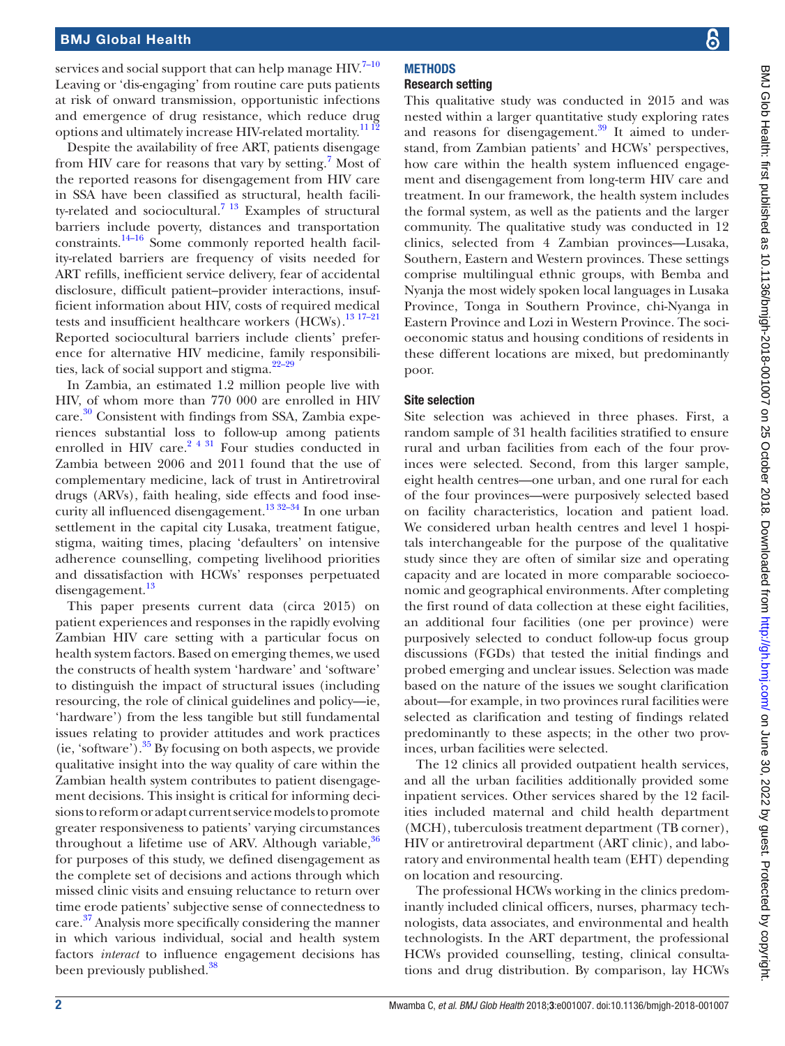services and social support that can help manage  $HIV.<sup>7-10</sup>$ Leaving or 'dis-engaging' from routine care puts patients at risk of onward transmission, opportunistic infections and emergence of drug resistance, which reduce drug options and ultimately increase HIV-related mortality.<sup>[11 12](#page-9-1)</sup>

Despite the availability of free ART, patients disengage from HIV care for reasons that vary by setting.<sup>[7](#page-9-0)</sup> Most of the reported reasons for disengagement from HIV care in SSA have been classified as structural, health facility-related and sociocultural.<sup>7</sup> <sup>13</sup> Examples of structural barriers include poverty, distances and transportation constraints.[14–16](#page-9-2) Some commonly reported health facility-related barriers are frequency of visits needed for ART refills, inefficient service delivery, fear of accidental disclosure, difficult patient–provider interactions, insufficient information about HIV, costs of required medical tests and insufficient healthcare workers  $(HCWs).$ <sup>13 17–21</sup> Reported sociocultural barriers include clients' preference for alternative HIV medicine, family responsibilities, lack of social support and stigma[.22–29](#page-9-4)

In Zambia, an estimated 1.2 million people live with HIV, of whom more than 770 000 are enrolled in HIV care.<sup>30</sup> Consistent with findings from SSA, Zambia experiences substantial loss to follow-up among patients enrolled in HIV care.<sup>2 4 31</sup> Four studies conducted in Zambia between 2006 and 2011 found that the use of complementary medicine, lack of trust in Antiretroviral drugs (ARVs), faith healing, side effects and food inse-curity all influenced disengagement.<sup>[13 32–34](#page-9-3)</sup> In one urban settlement in the capital city Lusaka, treatment fatigue, stigma, waiting times, placing 'defaulters' on intensive adherence counselling, competing livelihood priorities and dissatisfaction with HCWs' responses perpetuated disengagement.<sup>[13](#page-9-3)</sup>

This paper presents current data (circa 2015) on patient experiences and responses in the rapidly evolving Zambian HIV care setting with a particular focus on health system factors. Based on emerging themes, we used the constructs of health system 'hardware' and 'software' to distinguish the impact of structural issues (including resourcing, the role of clinical guidelines and policy—ie, 'hardware') from the less tangible but still fundamental issues relating to provider attitudes and work practices (ie, 'software').<sup>35</sup> By focusing on both aspects, we provide qualitative insight into the way quality of care within the Zambian health system contributes to patient disengagement decisions. This insight is critical for informing decisions to reform or adapt current service models to promote greater responsiveness to patients' varying circumstances throughout a lifetime use of ARV. Although variable,  $36$ for purposes of this study, we defined disengagement as the complete set of decisions and actions through which missed clinic visits and ensuing reluctance to return over time erode patients' subjective sense of connectedness to care. [37](#page-9-8) Analysis more specifically considering the manner in which various individual, social and health system factors *interact* to influence engagement decisions has been previously published.<sup>38</sup>

#### **METHODS** Research setting

This qualitative study was conducted in 2015 and was nested within a larger quantitative study exploring rates and reasons for disengagement. $39$  It aimed to understand, from Zambian patients' and HCWs' perspectives, how care within the health system influenced engagement and disengagement from long-term HIV care and treatment. In our framework, the health system includes the formal system, as well as the patients and the larger community. The qualitative study was conducted in 12 clinics, selected from 4 Zambian provinces—Lusaka, Southern, Eastern and Western provinces. These settings comprise multilingual ethnic groups, with Bemba and Nyanja the most widely spoken local languages in Lusaka Province, Tonga in Southern Province, chi-Nyanga in Eastern Province and Lozi in Western Province. The socioeconomic status and housing conditions of residents in these different locations are mixed, but predominantly poor.

### Site selection

Site selection was achieved in three phases. First, a random sample of 31 health facilities stratified to ensure rural and urban facilities from each of the four provinces were selected. Second, from this larger sample, eight health centres—one urban, and one rural for each of the four provinces—were purposively selected based on facility characteristics, location and patient load. We considered urban health centres and level 1 hospitals interchangeable for the purpose of the qualitative study since they are often of similar size and operating capacity and are located in more comparable socioeconomic and geographical environments. After completing the first round of data collection at these eight facilities, an additional four facilities (one per province) were purposively selected to conduct follow-up focus group discussions (FGDs) that tested the initial findings and probed emerging and unclear issues. Selection was made based on the nature of the issues we sought clarification about—for example, in two provinces rural facilities were selected as clarification and testing of findings related predominantly to these aspects; in the other two provinces, urban facilities were selected.

The 12 clinics all provided outpatient health services, and all the urban facilities additionally provided some inpatient services. Other services shared by the 12 facilities included maternal and child health department (MCH), tuberculosis treatment department (TB corner), HIV or antiretroviral department (ART clinic), and laboratory and environmental health team (EHT) depending on location and resourcing.

The professional HCWs working in the clinics predominantly included clinical officers, nurses, pharmacy technologists, data associates, and environmental and health technologists. In the ART department, the professional HCWs provided counselling, testing, clinical consultations and drug distribution. By comparison, lay HCWs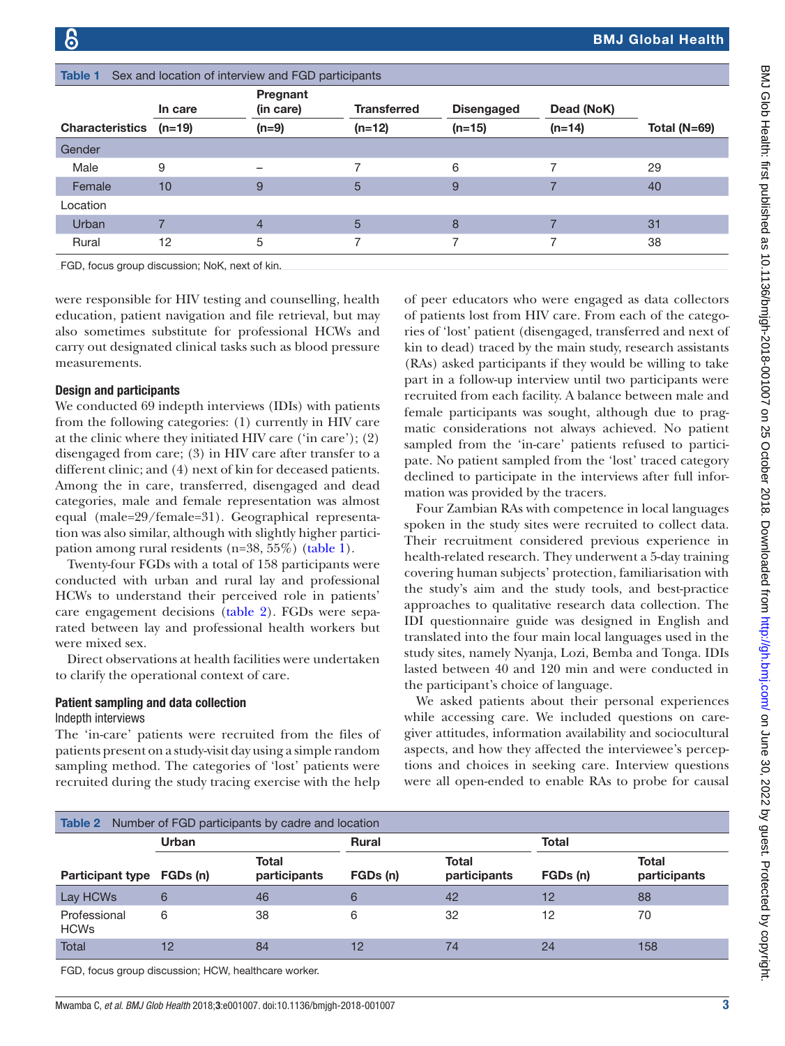<span id="page-2-0"></span>

| Sex and location of interview and FGD participants<br>Table 1 |          |                       |                    |                   |            |              |  |  |  |  |
|---------------------------------------------------------------|----------|-----------------------|--------------------|-------------------|------------|--------------|--|--|--|--|
|                                                               | In care  | Pregnant<br>(in care) | <b>Transferred</b> | <b>Disengaged</b> | Dead (NoK) |              |  |  |  |  |
| <b>Characteristics</b>                                        | $(n=19)$ | $(n=9)$               | $(n=12)$           | $(n=15)$          | $(n=14)$   | Total (N=69) |  |  |  |  |
| Gender                                                        |          |                       |                    |                   |            |              |  |  |  |  |
| Male                                                          | 9        | -                     |                    | 6                 |            | 29           |  |  |  |  |
| Female                                                        | 10       | 9                     | 5                  | 9                 |            | 40           |  |  |  |  |
| Location                                                      |          |                       |                    |                   |            |              |  |  |  |  |
| Urban                                                         |          | $\overline{4}$        | 5                  | 8                 |            | 31           |  |  |  |  |
| Rural                                                         | 12       | 5                     |                    |                   |            | 38           |  |  |  |  |

FGD, focus group discussion; NoK, next of kin.

were responsible for HIV testing and counselling, health education, patient navigation and file retrieval, but may also sometimes substitute for professional HCWs and carry out designated clinical tasks such as blood pressure measurements.

#### Design and participants

We conducted 69 indepth interviews (IDIs) with patients from the following categories: (1) currently in HIV care at the clinic where they initiated HIV care ('in care'); (2) disengaged from care; (3) in HIV care after transfer to a different clinic; and (4) next of kin for deceased patients. Among the in care, transferred, disengaged and dead categories, male and female representation was almost equal (male=29/female=31). Geographical representation was also similar, although with slightly higher participation among rural residents (n=38, 55%) [\(table](#page-2-0) 1).

Twenty-four FGDs with a total of 158 participants were conducted with urban and rural lay and professional HCWs to understand their perceived role in patients' care engagement decisions ([table](#page-2-1) 2). FGDs were separated between lay and professional health workers but were mixed sex.

Direct observations at health facilities were undertaken to clarify the operational context of care.

#### Patient sampling and data collection

#### Indepth interviews

The 'in-care' patients were recruited from the files of patients present on a study-visit day using a simple random sampling method. The categories of 'lost' patients were recruited during the study tracing exercise with the help

of peer educators who were engaged as data collectors of patients lost from HIV care. From each of the categories of 'lost' patient (disengaged, transferred and next of kin to dead) traced by the main study, research assistants (RAs) asked participants if they would be willing to take part in a follow-up interview until two participants were recruited from each facility. A balance between male and female participants was sought, although due to pragmatic considerations not always achieved. No patient sampled from the 'in-care' patients refused to participate. No patient sampled from the 'lost' traced category declined to participate in the interviews after full information was provided by the tracers.

Four Zambian RAs with competence in local languages spoken in the study sites were recruited to collect data. Their recruitment considered previous experience in health-related research. They underwent a 5-day training covering human subjects' protection, familiarisation with the study's aim and the study tools, and best-practice approaches to qualitative research data collection. The IDI questionnaire guide was designed in English and translated into the four main local languages used in the study sites, namely Nyanja, Lozi, Bemba and Tonga. IDIs lasted between 40 and 120 min and were conducted in the participant's choice of language.

We asked patients about their personal experiences while accessing care. We included questions on caregiver attitudes, information availability and sociocultural aspects, and how they affected the interviewee's perceptions and choices in seeking care. Interview questions were all open-ended to enable RAs to probe for causal

<span id="page-2-1"></span>

| <b>Table 2</b> Number of FGD participants by cadre and location |    |                              |          |                              |          |                              |  |  |  |  |
|-----------------------------------------------------------------|----|------------------------------|----------|------------------------------|----------|------------------------------|--|--|--|--|
| Urban                                                           |    | <b>Rural</b>                 |          | <b>Total</b>                 |          |                              |  |  |  |  |
| Participant type FGDs (n)                                       |    | <b>Total</b><br>participants | FGDs (n) | <b>Total</b><br>participants | FGDs (n) | <b>Total</b><br>participants |  |  |  |  |
| Lay HCWs                                                        | 6  | 46                           | 6        | 42                           | 12       | 88                           |  |  |  |  |
| Professional<br><b>HCWs</b>                                     | 6  | 38                           | 6        | 32                           | 12       | 70                           |  |  |  |  |
| <b>Total</b>                                                    | 12 | 84                           | 12       | 74                           | 24       | 158                          |  |  |  |  |

FGD, focus group discussion; HCW, healthcare worker.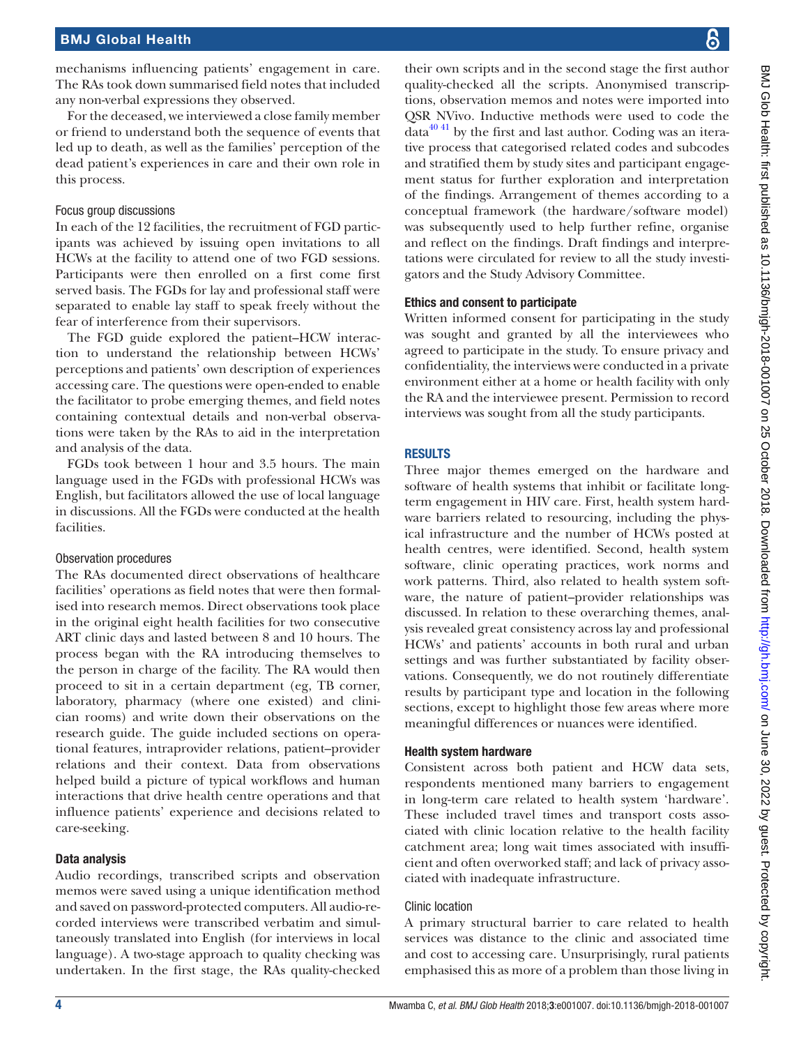mechanisms influencing patients' engagement in care. The RAs took down summarised field notes that included any non-verbal expressions they observed.

For the deceased, we interviewed a close family member or friend to understand both the sequence of events that led up to death, as well as the families' perception of the dead patient's experiences in care and their own role in this process.

#### Focus group discussions

In each of the 12 facilities, the recruitment of FGD participants was achieved by issuing open invitations to all HCWs at the facility to attend one of two FGD sessions. Participants were then enrolled on a first come first served basis. The FGDs for lay and professional staff were separated to enable lay staff to speak freely without the fear of interference from their supervisors.

The FGD guide explored the patient–HCW interaction to understand the relationship between HCWs' perceptions and patients' own description of experiences accessing care. The questions were open-ended to enable the facilitator to probe emerging themes, and field notes containing contextual details and non-verbal observations were taken by the RAs to aid in the interpretation and analysis of the data.

FGDs took between 1 hour and 3.5 hours. The main language used in the FGDs with professional HCWs was English, but facilitators allowed the use of local language in discussions. All the FGDs were conducted at the health facilities.

# Observation procedures

The RAs documented direct observations of healthcare facilities' operations as field notes that were then formalised into research memos. Direct observations took place in the original eight health facilities for two consecutive ART clinic days and lasted between 8 and 10 hours. The process began with the RA introducing themselves to the person in charge of the facility. The RA would then proceed to sit in a certain department (eg, TB corner, laboratory, pharmacy (where one existed) and clinician rooms) and write down their observations on the research guide. The guide included sections on operational features, intraprovider relations, patient–provider relations and their context. Data from observations helped build a picture of typical workflows and human interactions that drive health centre operations and that influence patients' experience and decisions related to care-seeking.

# Data analysis

Audio recordings, transcribed scripts and observation memos were saved using a unique identification method and saved on password-protected computers. All audio-recorded interviews were transcribed verbatim and simultaneously translated into English (for interviews in local language). A two-stage approach to quality checking was undertaken. In the first stage, the RAs quality-checked

their own scripts and in the second stage the first author quality-checked all the scripts. Anonymised transcriptions, observation memos and notes were imported into QSR NVivo. Inductive methods were used to code the  $data^{40.41}$  by the first and last author. Coding was an iterative process that categorised related codes and subcodes and stratified them by study sites and participant engagement status for further exploration and interpretation of the findings. Arrangement of themes according to a conceptual framework (the hardware/software model) was subsequently used to help further refine, organise and reflect on the findings. Draft findings and interpretations were circulated for review to all the study investigators and the Study Advisory Committee.

# Ethics and consent to participate

Written informed consent for participating in the study was sought and granted by all the interviewees who agreed to participate in the study. To ensure privacy and confidentiality, the interviews were conducted in a private environment either at a home or health facility with only the RA and the interviewee present. Permission to record interviews was sought from all the study participants.

# **RESULTS**

Three major themes emerged on the hardware and software of health systems that inhibit or facilitate longterm engagement in HIV care. First, health system hardware barriers related to resourcing, including the physical infrastructure and the number of HCWs posted at health centres, were identified. Second, health system software, clinic operating practices, work norms and work patterns. Third, also related to health system software, the nature of patient–provider relationships was discussed. In relation to these overarching themes, analysis revealed great consistency across lay and professional HCWs' and patients' accounts in both rural and urban settings and was further substantiated by facility observations. Consequently, we do not routinely differentiate results by participant type and location in the following sections, except to highlight those few areas where more meaningful differences or nuances were identified.

# Health system hardware

Consistent across both patient and HCW data sets, respondents mentioned many barriers to engagement in long-term care related to health system 'hardware'. These included travel times and transport costs associated with clinic location relative to the health facility catchment area; long wait times associated with insufficient and often overworked staff; and lack of privacy associated with inadequate infrastructure.

# Clinic location

A primary structural barrier to care related to health services was distance to the clinic and associated time and cost to accessing care. Unsurprisingly, rural patients emphasised this as more of a problem than those living in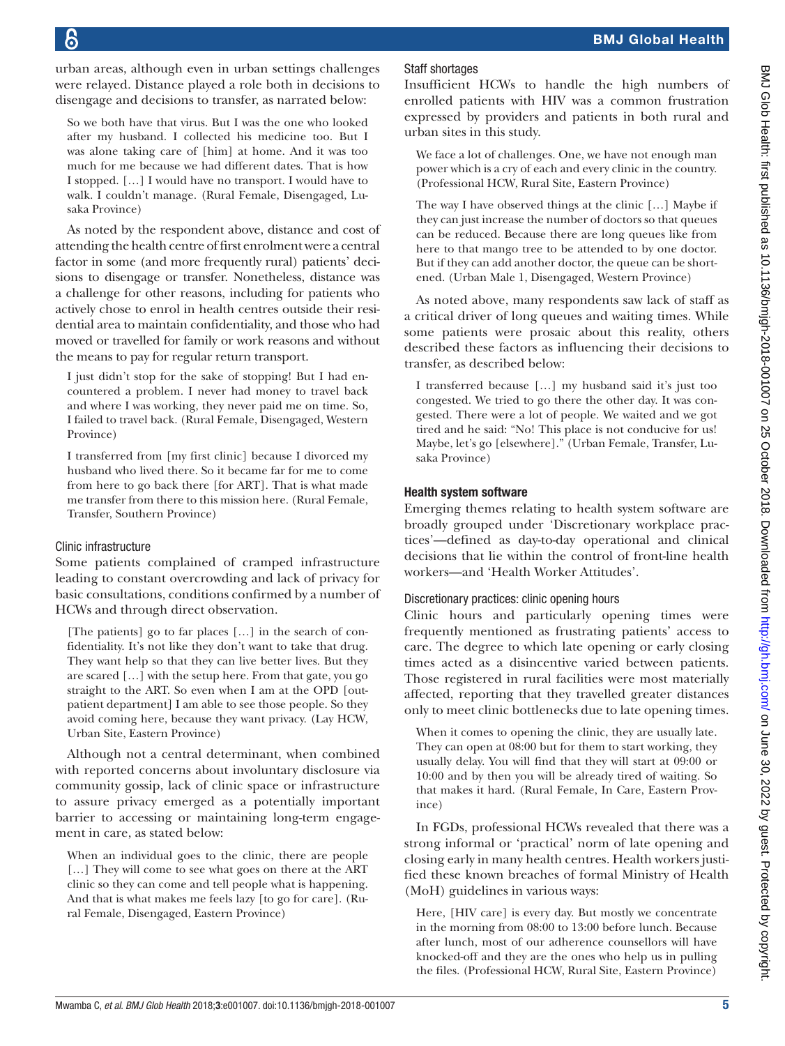urban areas, although even in urban settings challenges were relayed. Distance played a role both in decisions to disengage and decisions to transfer, as narrated below:

So we both have that virus. But I was the one who looked after my husband. I collected his medicine too. But I was alone taking care of [him] at home. And it was too much for me because we had different dates. That is how I stopped. […] I would have no transport. I would have to walk. I couldn't manage. (Rural Female, Disengaged, Lusaka Province)

As noted by the respondent above, distance and cost of attending the health centre of first enrolment were a central factor in some (and more frequently rural) patients' decisions to disengage or transfer. Nonetheless, distance was a challenge for other reasons, including for patients who actively chose to enrol in health centres outside their residential area to maintain confidentiality, and those who had moved or travelled for family or work reasons and without the means to pay for regular return transport.

I just didn't stop for the sake of stopping! But I had encountered a problem. I never had money to travel back and where I was working, they never paid me on time. So, I failed to travel back. (Rural Female, Disengaged, Western Province)

I transferred from [my first clinic] because I divorced my husband who lived there. So it became far for me to come from here to go back there [for ART]. That is what made me transfer from there to this mission here. (Rural Female, Transfer, Southern Province)

#### Clinic infrastructure

Some patients complained of cramped infrastructure leading to constant overcrowding and lack of privacy for basic consultations, conditions confirmed by a number of HCWs and through direct observation.

[The patients] go to far places […] in the search of confidentiality. It's not like they don't want to take that drug. They want help so that they can live better lives. But they are scared […] with the setup here. From that gate, you go straight to the ART. So even when I am at the OPD [outpatient department] I am able to see those people. So they avoid coming here, because they want privacy. (Lay HCW, Urban Site, Eastern Province)

Although not a central determinant, when combined with reported concerns about involuntary disclosure via community gossip, lack of clinic space or infrastructure to assure privacy emerged as a potentially important barrier to accessing or maintaining long-term engagement in care, as stated below:

When an individual goes to the clinic, there are people […] They will come to see what goes on there at the ART clinic so they can come and tell people what is happening. And that is what makes me feels lazy [to go for care]. (Rural Female, Disengaged, Eastern Province)

# Staff shortages

Insufficient HCWs to handle the high numbers of enrolled patients with HIV was a common frustration expressed by providers and patients in both rural and urban sites in this study.

We face a lot of challenges. One, we have not enough man power which is a cry of each and every clinic in the country. (Professional HCW, Rural Site, Eastern Province)

The way I have observed things at the clinic […] Maybe if they can just increase the number of doctors so that queues can be reduced. Because there are long queues like from here to that mango tree to be attended to by one doctor. But if they can add another doctor, the queue can be shortened. (Urban Male 1, Disengaged, Western Province)

As noted above, many respondents saw lack of staff as a critical driver of long queues and waiting times. While some patients were prosaic about this reality, others described these factors as influencing their decisions to transfer, as described below:

I transferred because […] my husband said it's just too congested. We tried to go there the other day. It was congested. There were a lot of people. We waited and we got tired and he said: "No! This place is not conducive for us! Maybe, let's go [elsewhere]." (Urban Female, Transfer, Lusaka Province)

### Health system software

Emerging themes relating to health system software are broadly grouped under 'Discretionary workplace practices'—defined as day-to-day operational and clinical decisions that lie within the control of front-line health workers—and 'Health Worker Attitudes'.

#### Discretionary practices: clinic opening hours

Clinic hours and particularly opening times were frequently mentioned as frustrating patients' access to care. The degree to which late opening or early closing times acted as a disincentive varied between patients. Those registered in rural facilities were most materially affected, reporting that they travelled greater distances only to meet clinic bottlenecks due to late opening times.

When it comes to opening the clinic, they are usually late. They can open at 08:00 but for them to start working, they usually delay. You will find that they will start at 09:00 or 10:00 and by then you will be already tired of waiting. So that makes it hard. (Rural Female, In Care, Eastern Province)

In FGDs, professional HCWs revealed that there was a strong informal or 'practical' norm of late opening and closing early in many health centres. Health workers justified these known breaches of formal Ministry of Health (MoH) guidelines in various ways:

Here, [HIV care] is every day. But mostly we concentrate in the morning from 08:00 to 13:00 before lunch. Because after lunch, most of our adherence counsellors will have knocked-off and they are the ones who help us in pulling the files. (Professional HCW, Rural Site, Eastern Province)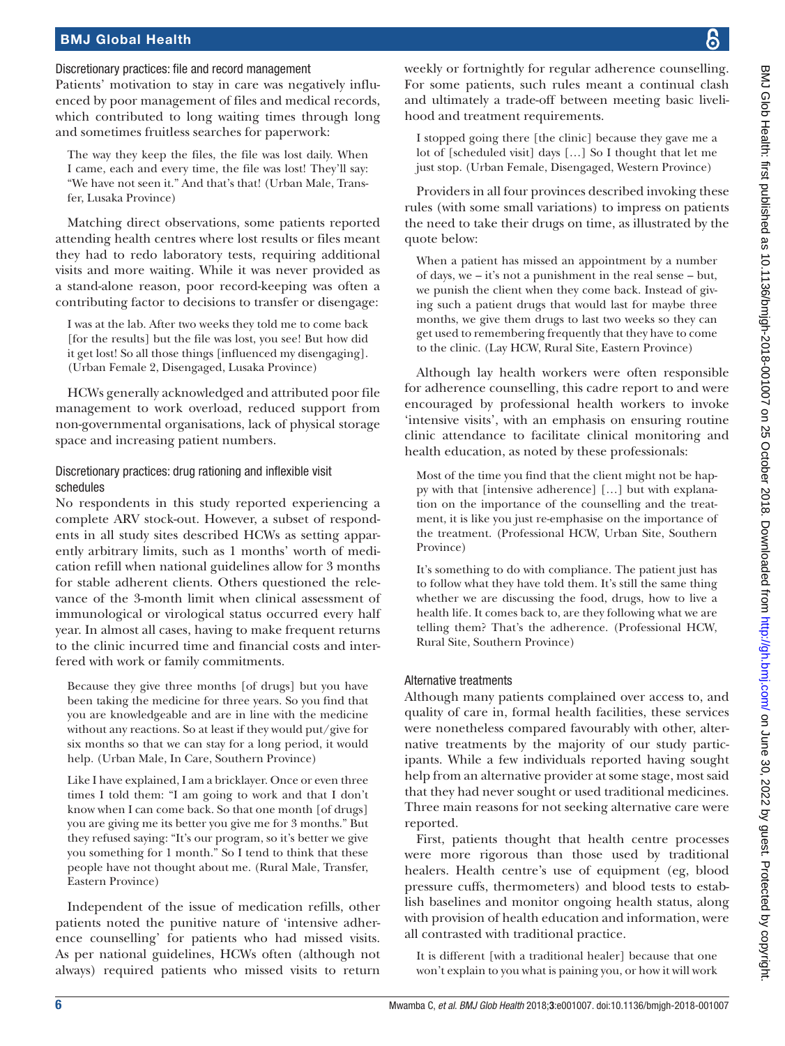Discretionary practices: file and record management

Patients' motivation to stay in care was negatively influenced by poor management of files and medical records, which contributed to long waiting times through long and sometimes fruitless searches for paperwork:

The way they keep the files, the file was lost daily. When I came, each and every time, the file was lost! They'll say: "We have not seen it." And that's that! (Urban Male, Transfer, Lusaka Province)

Matching direct observations, some patients reported attending health centres where lost results or files meant they had to redo laboratory tests, requiring additional visits and more waiting. While it was never provided as a stand-alone reason, poor record-keeping was often a contributing factor to decisions to transfer or disengage:

I was at the lab. After two weeks they told me to come back [for the results] but the file was lost, you see! But how did it get lost! So all those things [influenced my disengaging]. (Urban Female 2, Disengaged, Lusaka Province)

HCWs generally acknowledged and attributed poor file management to work overload, reduced support from non-governmental organisations, lack of physical storage space and increasing patient numbers.

#### Discretionary practices: drug rationing and inflexible visit schedules

No respondents in this study reported experiencing a complete ARV stock-out. However, a subset of respondents in all study sites described HCWs as setting apparently arbitrary limits, such as 1 months' worth of medication refill when national guidelines allow for 3 months for stable adherent clients. Others questioned the relevance of the 3-month limit when clinical assessment of immunological or virological status occurred every half year. In almost all cases, having to make frequent returns to the clinic incurred time and financial costs and interfered with work or family commitments.

Because they give three months [of drugs] but you have been taking the medicine for three years. So you find that you are knowledgeable and are in line with the medicine without any reactions. So at least if they would put/give for six months so that we can stay for a long period, it would help. (Urban Male, In Care, Southern Province)

Like I have explained, I am a bricklayer. Once or even three times I told them: "I am going to work and that I don't know when I can come back. So that one month [of drugs] you are giving me its better you give me for 3 months." But they refused saying: "It's our program, so it's better we give you something for 1 month." So I tend to think that these people have not thought about me. (Rural Male, Transfer, Eastern Province)

Independent of the issue of medication refills, other patients noted the punitive nature of 'intensive adherence counselling' for patients who had missed visits. As per national guidelines, HCWs often (although not always) required patients who missed visits to return

weekly or fortnightly for regular adherence counselling. For some patients, such rules meant a continual clash and ultimately a trade-off between meeting basic livelihood and treatment requirements.

I stopped going there [the clinic] because they gave me a lot of [scheduled visit] days […] So I thought that let me just stop. (Urban Female, Disengaged, Western Province)

Providers in all four provinces described invoking these rules (with some small variations) to impress on patients the need to take their drugs on time, as illustrated by the quote below:

When a patient has missed an appointment by a number of days, we – it's not a punishment in the real sense – but, we punish the client when they come back. Instead of giving such a patient drugs that would last for maybe three months, we give them drugs to last two weeks so they can get used to remembering frequently that they have to come to the clinic. (Lay HCW, Rural Site, Eastern Province)

Although lay health workers were often responsible for adherence counselling, this cadre report to and were encouraged by professional health workers to invoke 'intensive visits', with an emphasis on ensuring routine clinic attendance to facilitate clinical monitoring and health education, as noted by these professionals:

Most of the time you find that the client might not be happy with that [intensive adherence] […] but with explanation on the importance of the counselling and the treatment, it is like you just re-emphasise on the importance of the treatment. (Professional HCW, Urban Site, Southern Province)

It's something to do with compliance. The patient just has to follow what they have told them. It's still the same thing whether we are discussing the food, drugs, how to live a health life. It comes back to, are they following what we are telling them? That's the adherence. (Professional HCW, Rural Site, Southern Province)

#### Alternative treatments

Although many patients complained over access to, and quality of care in, formal health facilities, these services were nonetheless compared favourably with other, alternative treatments by the majority of our study participants. While a few individuals reported having sought help from an alternative provider at some stage, most said that they had never sought or used traditional medicines. Three main reasons for not seeking alternative care were reported.

First, patients thought that health centre processes were more rigorous than those used by traditional healers. Health centre's use of equipment (eg, blood pressure cuffs, thermometers) and blood tests to establish baselines and monitor ongoing health status, along with provision of health education and information, were all contrasted with traditional practice.

It is different [with a traditional healer] because that one won't explain to you what is paining you, or how it will work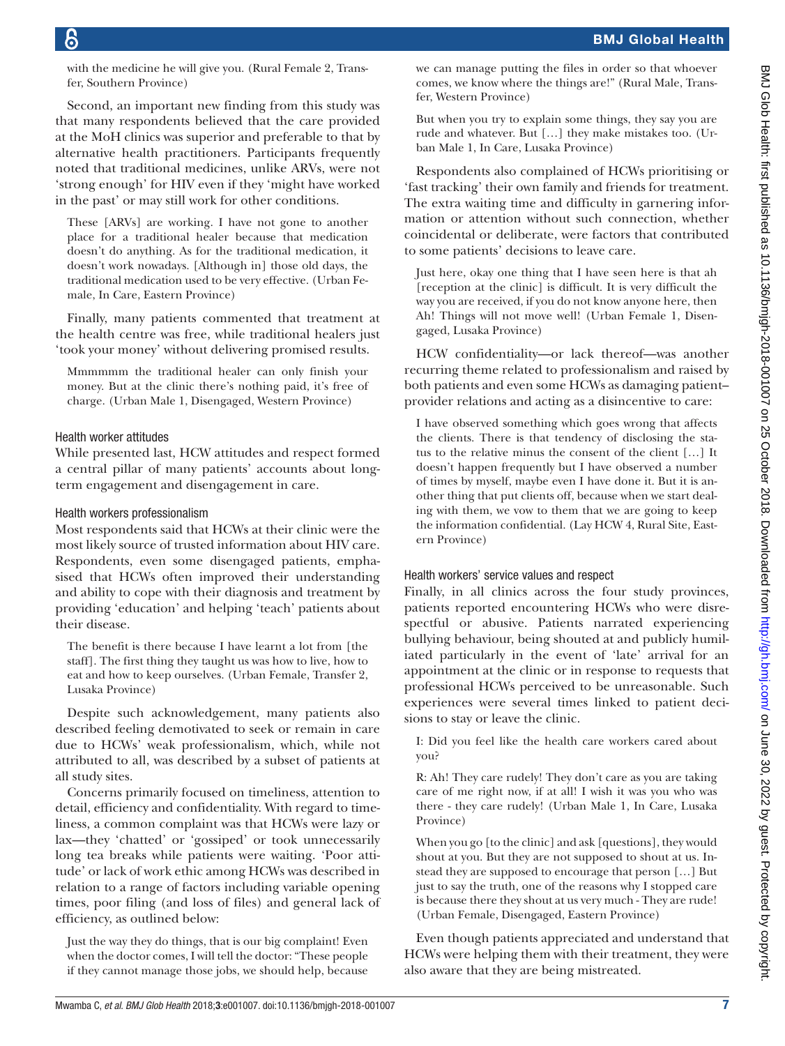with the medicine he will give you. (Rural Female 2, Transfer, Southern Province)

Second, an important new finding from this study was that many respondents believed that the care provided at the MoH clinics was superior and preferable to that by alternative health practitioners. Participants frequently noted that traditional medicines, unlike ARVs, were not 'strong enough' for HIV even if they 'might have worked in the past' or may still work for other conditions.

These [ARVs] are working. I have not gone to another place for a traditional healer because that medication doesn't do anything. As for the traditional medication, it doesn't work nowadays. [Although in] those old days, the traditional medication used to be very effective. (Urban Female, In Care, Eastern Province)

Finally, many patients commented that treatment at the health centre was free, while traditional healers just 'took your money' without delivering promised results.

Mmmmmm the traditional healer can only finish your money. But at the clinic there's nothing paid, it's free of charge. (Urban Male 1, Disengaged, Western Province)

### Health worker attitudes

While presented last, HCW attitudes and respect formed a central pillar of many patients' accounts about longterm engagement and disengagement in care.

### Health workers professionalism

Most respondents said that HCWs at their clinic were the most likely source of trusted information about HIV care. Respondents, even some disengaged patients, emphasised that HCWs often improved their understanding and ability to cope with their diagnosis and treatment by providing 'education' and helping 'teach' patients about their disease.

The benefit is there because I have learnt a lot from [the staff]. The first thing they taught us was how to live, how to eat and how to keep ourselves. (Urban Female, Transfer 2, Lusaka Province)

Despite such acknowledgement, many patients also described feeling demotivated to seek or remain in care due to HCWs' weak professionalism, which, while not attributed to all, was described by a subset of patients at all study sites.

Concerns primarily focused on timeliness, attention to detail, efficiency and confidentiality. With regard to timeliness, a common complaint was that HCWs were lazy or lax—they 'chatted' or 'gossiped' or took unnecessarily long tea breaks while patients were waiting. 'Poor attitude' or lack of work ethic among HCWs was described in relation to a range of factors including variable opening times, poor filing (and loss of files) and general lack of efficiency, as outlined below:

Just the way they do things, that is our big complaint! Even when the doctor comes, I will tell the doctor: "These people if they cannot manage those jobs, we should help, because

we can manage putting the files in order so that whoever comes, we know where the things are!" (Rural Male, Transfer, Western Province)

But when you try to explain some things, they say you are rude and whatever. But […] they make mistakes too. (Urban Male 1, In Care, Lusaka Province)

Respondents also complained of HCWs prioritising or 'fast tracking' their own family and friends for treatment. The extra waiting time and difficulty in garnering information or attention without such connection, whether coincidental or deliberate, were factors that contributed to some patients' decisions to leave care.

Just here, okay one thing that I have seen here is that ah [reception at the clinic] is difficult. It is very difficult the way you are received, if you do not know anyone here, then Ah! Things will not move well! (Urban Female 1, Disengaged, Lusaka Province)

HCW confidentiality—or lack thereof—was another recurring theme related to professionalism and raised by both patients and even some HCWs as damaging patient– provider relations and acting as a disincentive to care:

I have observed something which goes wrong that affects the clients. There is that tendency of disclosing the status to the relative minus the consent of the client […] It doesn't happen frequently but I have observed a number of times by myself, maybe even I have done it. But it is another thing that put clients off, because when we start dealing with them, we vow to them that we are going to keep the information confidential. (Lay HCW 4, Rural Site, Eastern Province)

# Health workers' service values and respect

Finally, in all clinics across the four study provinces, patients reported encountering HCWs who were disrespectful or abusive. Patients narrated experiencing bullying behaviour, being shouted at and publicly humiliated particularly in the event of 'late' arrival for an appointment at the clinic or in response to requests that professional HCWs perceived to be unreasonable. Such experiences were several times linked to patient decisions to stay or leave the clinic.

I: Did you feel like the health care workers cared about you?

R: Ah! They care rudely! They don't care as you are taking care of me right now, if at all! I wish it was you who was there - they care rudely! (Urban Male 1, In Care, Lusaka Province)

When you go [to the clinic] and ask [questions], they would shout at you. But they are not supposed to shout at us. Instead they are supposed to encourage that person […] But just to say the truth, one of the reasons why I stopped care is because there they shout at us very much - They are rude! (Urban Female, Disengaged, Eastern Province)

Even though patients appreciated and understand that HCWs were helping them with their treatment, they were also aware that they are being mistreated.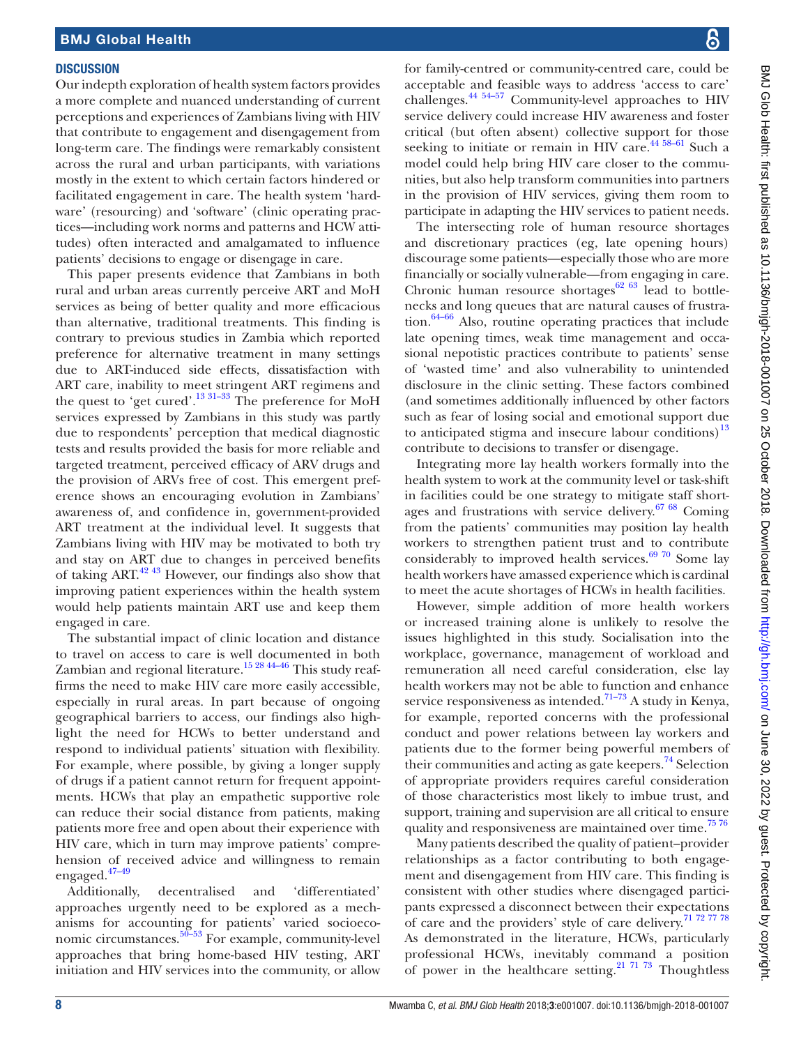#### **DISCUSSION**

Our indepth exploration of health system factors provides a more complete and nuanced understanding of current perceptions and experiences of Zambians living with HIV that contribute to engagement and disengagement from long-term care. The findings were remarkably consistent across the rural and urban participants, with variations mostly in the extent to which certain factors hindered or facilitated engagement in care. The health system 'hardware' (resourcing) and 'software' (clinic operating practices—including work norms and patterns and HCW attitudes) often interacted and amalgamated to influence patients' decisions to engage or disengage in care.

This paper presents evidence that Zambians in both rural and urban areas currently perceive ART and MoH services as being of better quality and more efficacious than alternative, traditional treatments. This finding is contrary to previous studies in Zambia which reported preference for alternative treatment in many settings due to ART-induced side effects, dissatisfaction with ART care, inability to meet stringent ART regimens and the quest to 'get cured'.[13 31–33](#page-9-3) The preference for MoH services expressed by Zambians in this study was partly due to respondents' perception that medical diagnostic tests and results provided the basis for more reliable and targeted treatment, perceived efficacy of ARV drugs and the provision of ARVs free of cost. This emergent preference shows an encouraging evolution in Zambians' awareness of, and confidence in, government-provided ART treatment at the individual level. It suggests that Zambians living with HIV may be motivated to both try and stay on ART due to changes in perceived benefits of taking ART. $42\frac{43}{13}$  However, our findings also show that improving patient experiences within the health system would help patients maintain ART use and keep them engaged in care.

The substantial impact of clinic location and distance to travel on access to care is well documented in both Zambian and regional literature.<sup>[15 28 44–46](#page-9-13)</sup> This study reaffirms the need to make HIV care more easily accessible, especially in rural areas. In part because of ongoing geographical barriers to access, our findings also highlight the need for HCWs to better understand and respond to individual patients' situation with flexibility. For example, where possible, by giving a longer supply of drugs if a patient cannot return for frequent appointments. HCWs that play an empathetic supportive role can reduce their social distance from patients, making patients more free and open about their experience with HIV care, which in turn may improve patients' comprehension of received advice and willingness to remain engaged.[47–49](#page-9-14)

Additionally, decentralised and 'differentiated' approaches urgently need to be explored as a mechanisms for accounting for patients' varied socioeconomic circumstances. $50-53$  For example, community-level approaches that bring home-based HIV testing, ART initiation and HIV services into the community, or allow

for family-centred or community-centred care, could be acceptable and feasible ways to address 'access to care' challenges[.44 54–57](#page-9-16) Community-level approaches to HIV service delivery could increase HIV awareness and foster critical (but often absent) collective support for those seeking to initiate or remain in HIV care.<sup>44 58–61</sup> Such a model could help bring HIV care closer to the communities, but also help transform communities into partners in the provision of HIV services, giving them room to participate in adapting the HIV services to patient needs.

The intersecting role of human resource shortages and discretionary practices (eg, late opening hours) discourage some patients—especially those who are more financially or socially vulnerable—from engaging in care. Chronic human resource shortages $62 63$  lead to bottlenecks and long queues that are natural causes of frustration. $64-66$  Also, routine operating practices that include late opening times, weak time management and occasional nepotistic practices contribute to patients' sense of 'wasted time' and also vulnerability to unintended disclosure in the clinic setting. These factors combined (and sometimes additionally influenced by other factors such as fear of losing social and emotional support due to anticipated stigma and insecure labour conditions) $13$ contribute to decisions to transfer or disengage.

Integrating more lay health workers formally into the health system to work at the community level or task-shift in facilities could be one strategy to mitigate staff shortages and frustrations with service delivery. $6768$  Coming from the patients' communities may position lay health workers to strengthen patient trust and to contribute considerably to improved health services. $69\frac{70}{10}$  Some lay health workers have amassed experience which is cardinal to meet the acute shortages of HCWs in health facilities.

However, simple addition of more health workers or increased training alone is unlikely to resolve the issues highlighted in this study. Socialisation into the workplace, governance, management of workload and remuneration all need careful consideration, else lay health workers may not be able to function and enhance service responsiveness as intended.<sup>71-73</sup> A study in Kenya, for example, reported concerns with the professional conduct and power relations between lay workers and patients due to the former being powerful members of their communities and acting as gate keepers.<sup>74</sup> Selection of appropriate providers requires careful consideration of those characteristics most likely to imbue trust, and support, training and supervision are all critical to ensure quality and responsiveness are maintained over time.<sup>75</sup> 76

Many patients described the quality of patient–provider relationships as a factor contributing to both engagement and disengagement from HIV care. This finding is consistent with other studies where disengaged participants expressed a disconnect between their expectations of care and the providers' style of care delivery.[71 72 77 78](#page-10-4) As demonstrated in the literature, HCWs, particularly professional HCWs, inevitably command a position of power in the healthcare setting. $2^{1.71.73}$  Thoughtless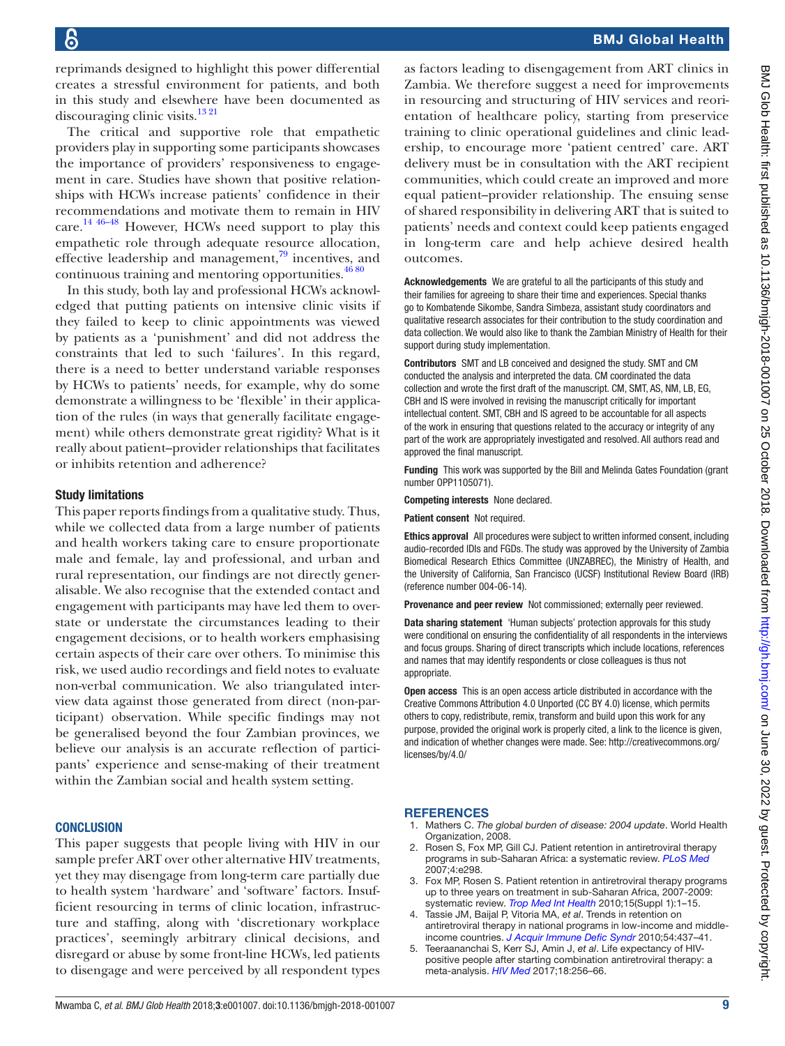reprimands designed to highlight this power differential creates a stressful environment for patients, and both in this study and elsewhere have been documented as discouraging clinic visits.<sup>[13 21](#page-9-3)</sup>

The critical and supportive role that empathetic providers play in supporting some participants showcases the importance of providers' responsiveness to engagement in care. Studies have shown that positive relationships with HCWs increase patients' confidence in their recommendations and motivate them to remain in HIV care.<sup>[14 46–48](#page-9-2)</sup> However, HCWs need support to play this empathetic role through adequate resource allocation, effective leadership and management, $\frac{79}{1}$  $\frac{79}{1}$  $\frac{79}{1}$  incentives, and continuous training and mentoring opportunities. $46\,80$ 

In this study, both lay and professional HCWs acknowledged that putting patients on intensive clinic visits if they failed to keep to clinic appointments was viewed by patients as a 'punishment' and did not address the constraints that led to such 'failures'. In this regard, there is a need to better understand variable responses by HCWs to patients' needs, for example, why do some demonstrate a willingness to be 'flexible' in their application of the rules (in ways that generally facilitate engagement) while others demonstrate great rigidity? What is it really about patient–provider relationships that facilitates or inhibits retention and adherence?

#### Study limitations

This paper reports findings from a qualitative study. Thus, while we collected data from a large number of patients and health workers taking care to ensure proportionate male and female, lay and professional, and urban and rural representation, our findings are not directly generalisable. We also recognise that the extended contact and engagement with participants may have led them to overstate or understate the circumstances leading to their engagement decisions, or to health workers emphasising certain aspects of their care over others. To minimise this risk, we used audio recordings and field notes to evaluate non-verbal communication. We also triangulated interview data against those generated from direct (non-participant) observation. While specific findings may not be generalised beyond the four Zambian provinces, we believe our analysis is an accurate reflection of participants' experience and sense-making of their treatment within the Zambian social and health system setting.

#### **CONCLUSION**

This paper suggests that people living with HIV in our sample prefer ART over other alternative HIV treatments, yet they may disengage from long-term care partially due to health system 'hardware' and 'software' factors. Insufficient resourcing in terms of clinic location, infrastructure and staffing, along with 'discretionary workplace practices', seemingly arbitrary clinical decisions, and disregard or abuse by some front-line HCWs, led patients to disengage and were perceived by all respondent types

as factors leading to disengagement from ART clinics in Zambia. We therefore suggest a need for improvements in resourcing and structuring of HIV services and reorientation of healthcare policy, starting from preservice training to clinic operational guidelines and clinic leadership, to encourage more 'patient centred' care. ART delivery must be in consultation with the ART recipient communities, which could create an improved and more equal patient–provider relationship. The ensuing sense of shared responsibility in delivering ART that is suited to patients' needs and context could keep patients engaged in long-term care and help achieve desired health outcomes.

Acknowledgements We are grateful to all the participants of this study and their families for agreeing to share their time and experiences. Special thanks go to Kombatende Sikombe, Sandra Simbeza, assistant study coordinators and qualitative research associates for their contribution to the study coordination and data collection. We would also like to thank the Zambian Ministry of Health for their support during study implementation.

Contributors SMT and LB conceived and designed the study. SMT and CM conducted the analysis and interpreted the data. CM coordinated the data collection and wrote the first draft of the manuscript. CM, SMT, AS, NM, LB, EG, CBH and IS were involved in revising the manuscript critically for important intellectual content. SMT, CBH and IS agreed to be accountable for all aspects of the work in ensuring that questions related to the accuracy or integrity of any part of the work are appropriately investigated and resolved. All authors read and approved the final manuscript.

Funding This work was supported by the Bill and Melinda Gates Foundation (grant number OPP1105071).

Competing interests None declared.

Patient consent Not required.

Ethics approval All procedures were subject to written informed consent, including audio-recorded IDIs and FGDs. The study was approved by the University of Zambia Biomedical Research Ethics Committee (UNZABREC), the Ministry of Health, and the University of California, San Francisco (UCSF) Institutional Review Board (IRB) (reference number 004-06-14).

Provenance and peer review Not commissioned; externally peer reviewed.

Data sharing statement 'Human subjects' protection approvals for this study were conditional on ensuring the confidentiality of all respondents in the interviews and focus groups. Sharing of direct transcripts which include locations, references and names that may identify respondents or close colleagues is thus not appropriate.

Open access This is an open access article distributed in accordance with the Creative Commons Attribution 4.0 Unported (CC BY 4.0) license, which permits others to copy, redistribute, remix, transform and build upon this work for any purpose, provided the original work is properly cited, a link to the licence is given, and indication of whether changes were made. See: [http://creativecommons.org/](http://creativecommons.org/licenses/by/4.0/) [licenses/by/4.0/](http://creativecommons.org/licenses/by/4.0/)

#### **REFERENCES**

- <span id="page-8-0"></span>1. Mathers C. *The global burden of disease: 2004 update*. World Health Organization, 2008.
- <span id="page-8-1"></span>2. Rosen S, Fox MP, Gill CJ. Patient retention in antiretroviral therapy programs in sub-Saharan Africa: a systematic review. *[PLoS Med](http://dx.doi.org/10.1371/journal.pmed.0040298)* 2007;4:e298.
- 3. Fox MP, Rosen S. Patient retention in antiretroviral therapy programs up to three years on treatment in sub-Saharan Africa, 2007-2009: systematic review. *[Trop Med Int Health](http://dx.doi.org/10.1111/j.1365-3156.2010.02508.x)* 2010;15(Suppl 1):1–15.
- 4. Tassie JM, Baijal P, Vitoria MA, *et al*. Trends in retention on antiretroviral therapy in national programs in low-income and middleincome countries. *[J Acquir Immune Defic Syndr](http://dx.doi.org/10.1097/QAI.0b013e3181d73e1b)* 2010;54:437–41.
- <span id="page-8-2"></span>5. Teeraananchai S, Kerr SJ, Amin J, *et al*. Life expectancy of HIVpositive people after starting combination antiretroviral therapy: a meta-analysis. *[HIV Med](http://dx.doi.org/10.1111/hiv.12421)* 2017;18:256–66.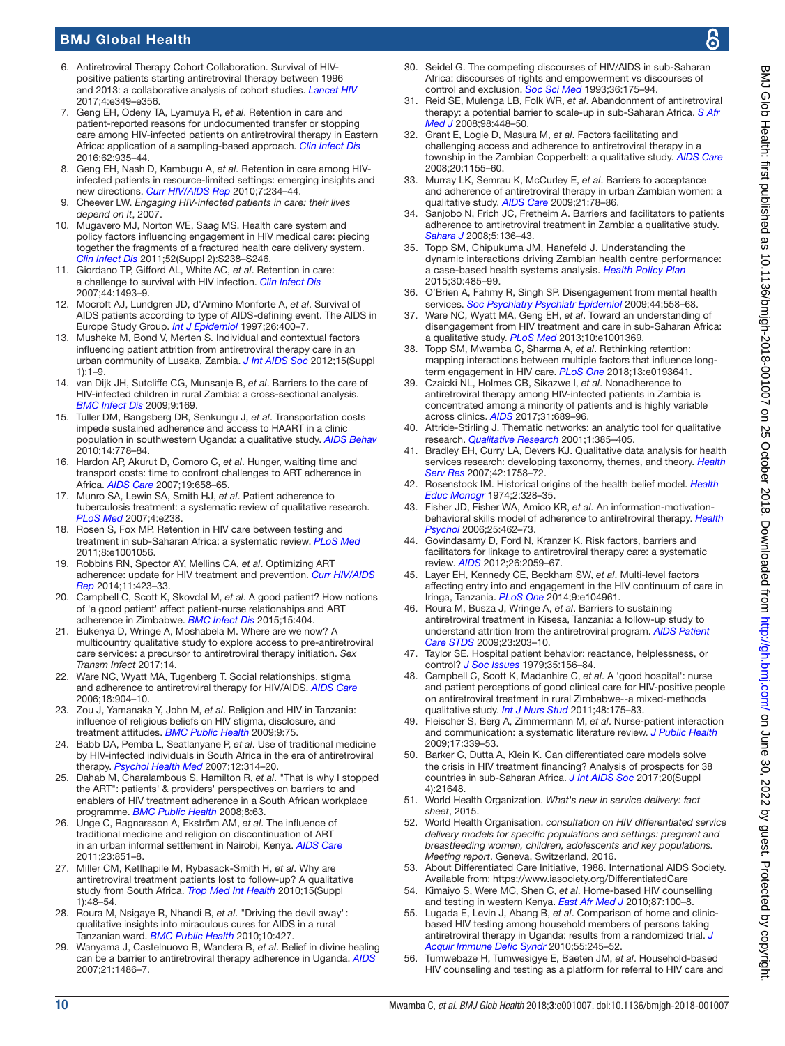- 6. Antiretroviral Therapy Cohort Collaboration. Survival of HIVpositive patients starting antiretroviral therapy between 1996 and 2013: a collaborative analysis of cohort studies. *[Lancet HIV](http://dx.doi.org/10.1016/S2352-3018(17)30066-8)* 2017;4:e349–e356.
- <span id="page-9-0"></span>7. Geng EH, Odeny TA, Lyamuya R, *et al*. Retention in care and patient-reported reasons for undocumented transfer or stopping care among HIV-infected patients on antiretroviral therapy in Eastern Africa: application of a sampling-based approach. *[Clin Infect Dis](http://dx.doi.org/10.1093/cid/civ1004)* 2016;62:935–44.
- 8. Geng EH, Nash D, Kambugu A, *et al*. Retention in care among HIVinfected patients in resource-limited settings: emerging insights and new directions. *[Curr HIV/AIDS Rep](http://dx.doi.org/10.1007/s11904-010-0061-5)* 2010;7:234–44.
- 9. Cheever LW. *Engaging HIV-infected patients in care: their lives depend on it*, 2007.
- 10. Mugavero MJ, Norton WE, Saag MS. Health care system and policy factors influencing engagement in HIV medical care: piecing together the fragments of a fractured health care delivery system. *[Clin Infect Dis](http://dx.doi.org/10.1093/cid/ciq048)* 2011;52(Suppl 2):S238–S246.
- <span id="page-9-1"></span>11. Giordano TP, Gifford AL, White AC, *et al*. Retention in care: a challenge to survival with HIV infection. *[Clin Infect Dis](http://dx.doi.org/10.1086/516778)* 2007;44:1493–9.
- 12. Mocroft AJ, Lundgren JD, d'Armino Monforte A, *et al*. Survival of AIDS patients according to type of AIDS-defining event. The AIDS in Europe Study Group. *[Int J Epidemiol](http://dx.doi.org/10.1093/ije/26.2.400)* 1997;26:400–7.
- <span id="page-9-3"></span>13. Musheke M, Bond V, Merten S. Individual and contextual factors influencing patient attrition from antiretroviral therapy care in an urban community of Lusaka, Zambia. *[J Int AIDS Soc](http://dx.doi.org/10.7448/IAS.15.3.17366)* 2012;15(Suppl  $1):1-9$
- <span id="page-9-2"></span>14. van Dijk JH, Sutcliffe CG, Munsanje B, *et al*. Barriers to the care of HIV-infected children in rural Zambia: a cross-sectional analysis. *[BMC Infect Dis](http://dx.doi.org/10.1186/1471-2334-9-169)* 2009;9:169.
- <span id="page-9-13"></span>15. Tuller DM, Bangsberg DR, Senkungu J, *et al*. Transportation costs impede sustained adherence and access to HAART in a clinic population in southwestern Uganda: a qualitative study. *[AIDS Behav](http://dx.doi.org/10.1007/s10461-009-9533-2)* 2010;14:778–84.
- 16. Hardon AP, Akurut D, Comoro C, *et al*. Hunger, waiting time and transport costs: time to confront challenges to ART adherence in Africa. *[AIDS Care](http://dx.doi.org/10.1080/09540120701244943)* 2007;19:658–65.
- 17. Munro SA, Lewin SA, Smith HJ, *et al*. Patient adherence to tuberculosis treatment: a systematic review of qualitative research. *[PLoS Med](http://dx.doi.org/10.1371/journal.pmed.0040238)* 2007;4:e238.
- 18. Rosen S, Fox MP. Retention in HIV care between testing and treatment in sub-Saharan Africa: a systematic review. *[PLoS Med](http://dx.doi.org/10.1371/journal.pmed.1001056)* 2011;8:e1001056.
- 19. Robbins RN, Spector AY, Mellins CA, *et al*. Optimizing ART adherence: update for HIV treatment and prevention. *[Curr HIV/AIDS](http://dx.doi.org/10.1007/s11904-014-0229-5)  [Rep](http://dx.doi.org/10.1007/s11904-014-0229-5)* 2014;11:423–33.
- 20. Campbell C, Scott K, Skovdal M, *et al*. A good patient? How notions of 'a good patient' affect patient-nurse relationships and ART adherence in Zimbabwe. *[BMC Infect Dis](http://dx.doi.org/10.1186/s12879-015-1139-x)* 2015;15:404.
- <span id="page-9-17"></span>21. Bukenya D, Wringe A, Moshabela M. Where are we now? A multicountry qualitative study to explore access to pre-antiretroviral care services: a precursor to antiretroviral therapy initiation. *Sex Transm Infect* 2017;14.
- <span id="page-9-4"></span>22. Ware NC, Wyatt MA, Tugenberg T. Social relationships, stigma and adherence to antiretroviral therapy for HIV/AIDS. *[AIDS Care](http://dx.doi.org/10.1080/09540120500330554)* 2006;18:904–10.
- 23. Zou J, Yamanaka Y, John M, *et al*. Religion and HIV in Tanzania: influence of religious beliefs on HIV stigma, disclosure, and treatment attitudes. *[BMC Public Health](http://dx.doi.org/10.1186/1471-2458-9-75)* 2009;9:75.
- 24. Babb DA, Pemba L, Seatlanyane P, *et al*. Use of traditional medicine by HIV-infected individuals in South Africa in the era of antiretroviral therapy. *[Psychol Health Med](http://dx.doi.org/10.1080/13548500600621511)* 2007;12:314–20.
- 25. Dahab M, Charalambous S, Hamilton R, *et al*. "That is why I stopped the ART": patients' & providers' perspectives on barriers to and enablers of HIV treatment adherence in a South African workplace programme. *[BMC Public Health](http://dx.doi.org/10.1186/1471-2458-8-63)* 2008;8:63.
- 26. Unge C, Ragnarsson A, Ekström AM, *et al*. The influence of traditional medicine and religion on discontinuation of ART in an urban informal settlement in Nairobi, Kenya. *[AIDS Care](http://dx.doi.org/10.1080/09540121.2010.534432)* 2011;23:851–8.
- 27. Miller CM, Ketlhapile M, Rybasack-Smith H, *et al*. Why are antiretroviral treatment patients lost to follow-up? A qualitative study from South Africa. *[Trop Med Int Health](http://dx.doi.org/10.1111/j.1365-3156.2010.02514.x)* 2010;15(Suppl 1):48–54.
- 28. Roura M, Nsigaye R, Nhandi B, *et al*. "Driving the devil away": qualitative insights into miraculous cures for AIDS in a rural Tanzanian ward. *[BMC Public Health](http://dx.doi.org/10.1186/1471-2458-10-427)* 2010;10:427.
- 29. Wanyama J, Castelnuovo B, Wandera B, *et al*. Belief in divine healing can be a barrier to antiretroviral therapy adherence in Uganda. *[AIDS](http://dx.doi.org/10.1097/QAD.0b013e32823ecf7f)* 2007;21:1486–7.
- <span id="page-9-5"></span>30. Seidel G. The competing discourses of HIV/AIDS in sub-Saharan Africa: discourses of rights and empowerment vs discourses of control and exclusion. *[Soc Sci Med](http://dx.doi.org/10.1016/0277-9536(93)90002-L)* 1993;36:175–94.
- 31. Reid SE, Mulenga LB, Folk WR, *et al*. Abandonment of antiretroviral therapy: a potential barrier to scale-up in sub-Saharan Africa. *[S Afr](http://www.ncbi.nlm.nih.gov/pubmed/18683375)  [Med J](http://www.ncbi.nlm.nih.gov/pubmed/18683375)* 2008;98:448–50.
- 32. Grant E, Logie D, Masura M, *et al*. Factors facilitating and challenging access and adherence to antiretroviral therapy in a township in the Zambian Copperbelt: a qualitative study. *[AIDS Care](http://dx.doi.org/10.1080/09540120701854634)* 2008;20:1155–60.
- 33. Murray LK, Semrau K, McCurley E, *et al*. Barriers to acceptance and adherence of antiretroviral therapy in urban Zambian women: a qualitative study. *[AIDS Care](http://dx.doi.org/10.1080/09540120802032643)* 2009;21:78–86.
- 34. Sanjobo N, Frich JC, Fretheim A. Barriers and facilitators to patients' adherence to antiretroviral treatment in Zambia: a qualitative study. *[Sahara J](http://dx.doi.org/10.1080/17290376.2008.9724912)* 2008;5:136–43.
- <span id="page-9-6"></span>35. Topp SM, Chipukuma JM, Hanefeld J. Understanding the dynamic interactions driving Zambian health centre performance: a case-based health systems analysis. *[Health Policy Plan](http://dx.doi.org/10.1093/heapol/czu029)* 2015;30:485–99.
- <span id="page-9-7"></span>36. O'Brien A, Fahmy R, Singh SP. Disengagement from mental health services. *[Soc Psychiatry Psychiatr Epidemiol](http://dx.doi.org/10.1007/s00127-008-0476-0)* 2009;44:558–68.
- <span id="page-9-8"></span>37. Ware NC, Wyatt MA, Geng EH, *et al*. Toward an understanding of disengagement from HIV treatment and care in sub-Saharan Africa: a qualitative study. *[PLoS Med](http://dx.doi.org/10.1371/journal.pmed.1001369)* 2013;10:e1001369.
- <span id="page-9-9"></span>38. Topp SM, Mwamba C, Sharma A, *et al*. Rethinking retention: mapping interactions between multiple factors that influence longterm engagement in HIV care. *[PLoS One](http://dx.doi.org/10.1371/journal.pone.0193641)* 2018;13:e0193641.
- <span id="page-9-10"></span>39. Czaicki NL, Holmes CB, Sikazwe I, *et al*. Nonadherence to antiretroviral therapy among HIV-infected patients in Zambia is concentrated among a minority of patients and is highly variable across clinics. *[AIDS](http://dx.doi.org/10.1097/QAD.0000000000001347)* 2017;31:689–96.
- <span id="page-9-11"></span>40. Attride-Stirling J. Thematic networks: an analytic tool for qualitative research. *[Qualitative Research](http://dx.doi.org/10.1177/146879410100100307)* 2001;1:385–405.
- 41. Bradley EH, Curry LA, Devers KJ. Qualitative data analysis for health services research: developing taxonomy, themes, and theory. *[Health](http://dx.doi.org/10.1111/j.1475-6773.2006.00684.x)  [Serv Res](http://dx.doi.org/10.1111/j.1475-6773.2006.00684.x)* 2007;42:1758–72.
- <span id="page-9-12"></span>42. Rosenstock IM. Historical origins of the health belief model. *[Health](http://dx.doi.org/10.1177/109019817400200403)  [Educ Monogr](http://dx.doi.org/10.1177/109019817400200403)* 1974;2:328–35.
- 43. Fisher JD, Fisher WA, Amico KR, *et al*. An information-motivationbehavioral skills model of adherence to antiretroviral therapy. *[Health](http://dx.doi.org/10.1037/0278-6133.25.4.462)  [Psychol](http://dx.doi.org/10.1037/0278-6133.25.4.462)* 2006;25:462–73.
- <span id="page-9-16"></span>44. Govindasamy D, Ford N, Kranzer K. Risk factors, barriers and facilitators for linkage to antiretroviral therapy care: a systematic review. *[AIDS](http://dx.doi.org/10.1097/QAD.0b013e3283578b9b)* 2012;26:2059–67.
- 45. Layer EH, Kennedy CE, Beckham SW, *et al*. Multi-level factors affecting entry into and engagement in the HIV continuum of care in Iringa, Tanzania. *[PLoS One](http://dx.doi.org/10.1371/journal.pone.0104961)* 2014;9:e104961.
- <span id="page-9-18"></span>46. Roura M, Busza J, Wringe A, *et al*. Barriers to sustaining antiretroviral treatment in Kisesa, Tanzania: a follow-up study to understand attrition from the antiretroviral program. *[AIDS Patient](http://dx.doi.org/10.1089/apc.2008.0129)  [Care STDS](http://dx.doi.org/10.1089/apc.2008.0129)* 2009;23:203–10.
- <span id="page-9-14"></span>47. Taylor SE. Hospital patient behavior: reactance, helplessness, or control? *[J Soc Issues](http://dx.doi.org/10.1111/j.1540-4560.1979.tb00793.x)* 1979;35:156–84.
- 48. Campbell C, Scott K, Madanhire C, *et al*. A 'good hospital': nurse and patient perceptions of good clinical care for HIV-positive people on antiretroviral treatment in rural Zimbabwe--a mixed-methods qualitative study. *[Int J Nurs Stud](http://dx.doi.org/10.1016/j.ijnurstu.2010.07.019)* 2011;48:175–83.
- 49. Fleischer S, Berg A, Zimmermann M, *et al*. Nurse-patient interaction and communication: a systematic literature review. *[J Public Health](http://dx.doi.org/10.1007/s10389-008-0238-1)* 2009;17:339–53.
- <span id="page-9-15"></span>50. Barker C, Dutta A, Klein K. Can differentiated care models solve the crisis in HIV treatment financing? Analysis of prospects for 38 countries in sub-Saharan Africa. *[J Int AIDS Soc](http://dx.doi.org/10.7448/IAS.20.5.21648)* 2017;20(Suppl 4):21648.
- 51. World Health Organization. *What's new in service delivery: fact sheet*, 2015.
- 52. World Health Organisation. *consultation on HIV differentiated service delivery models for specific populations and settings: pregnant and breastfeeding women, children, adolescents and key populations. Meeting report*. Geneva, Switzerland, 2016.
- 53. About Differentiated Care Initiative, 1988. International AIDS Society. Available from: <https://www.iasociety.org/DifferentiatedCare>
- 54. Kimaiyo S, Were MC, Shen C, *et al*. Home-based HIV counselling and testing in western Kenya. *[East Afr Med J](http://dx.doi.org/10.4314/eamj.v87i3.62195)* 2010;87:100–8.
- 55. Lugada E, Levin J, Abang B, *et al*. Comparison of home and clinicbased HIV testing among household members of persons taking antiretroviral therapy in Uganda: results from a randomized trial. *[J](http://dx.doi.org/10.1097/QAI.0b013e3181e9e069)  [Acquir Immune Defic Syndr](http://dx.doi.org/10.1097/QAI.0b013e3181e9e069)* 2010;55:245–52.
- 56. Tumwebaze H, Tumwesigye E, Baeten JM, *et al*. Household-based HIV counseling and testing as a platform for referral to HIV care and